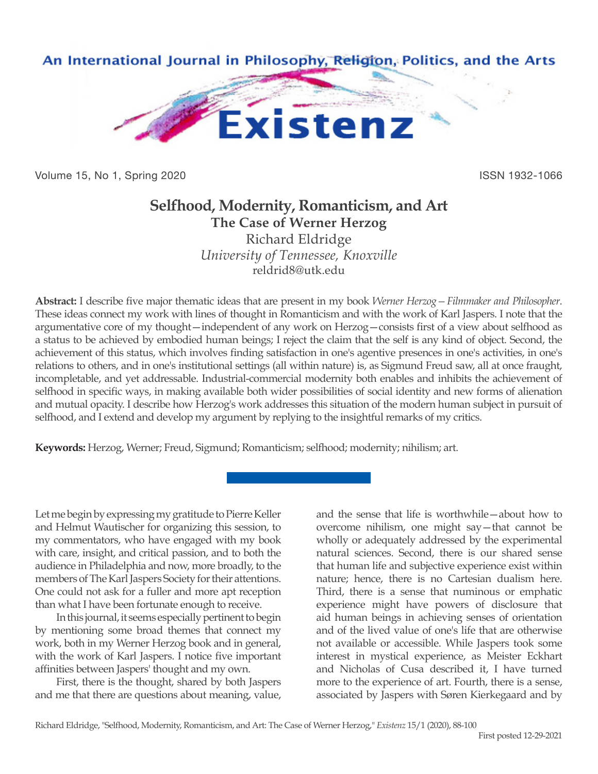

Volume 15, No 1, Spring 2020 **ISSN 1932-1066** ISSN 1932-1066

# **Selfhood, Modernity, Romanticism, and Art The Case of Werner Herzog**

Richard Eldridge *University of Tennessee, Knoxville* reldrid8@utk.edu

**Abstract:** I describe five major thematic ideas that are present in my book *Werner Herzog—Filmmaker and Philosopher*. These ideas connect my work with lines of thought in Romanticism and with the work of Karl Jaspers. I note that the argumentative core of my thought—independent of any work on Herzog—consists first of a view about selfhood as a status to be achieved by embodied human beings; I reject the claim that the self is any kind of object. Second, the achievement of this status, which involves finding satisfaction in one's agentive presences in one's activities, in one's relations to others, and in one's institutional settings (all within nature) is, as Sigmund Freud saw, all at once fraught, incompletable, and yet addressable. Industrial-commercial modernity both enables and inhibits the achievement of selfhood in specific ways, in making available both wider possibilities of social identity and new forms of alienation and mutual opacity. I describe how Herzog's work addresses this situation of the modern human subject in pursuit of selfhood, and I extend and develop my argument by replying to the insightful remarks of my critics.

**Keywords:** Herzog, Werner; Freud, Sigmund; Romanticism; selfhood; modernity; nihilism; art.

Let me begin by expressing my gratitude to Pierre Keller and Helmut Wautischer for organizing this session, to my commentators, who have engaged with my book with care, insight, and critical passion, and to both the audience in Philadelphia and now, more broadly, to the members of The Karl Jaspers Society for their attentions. One could not ask for a fuller and more apt reception than what I have been fortunate enough to receive.

In this journal, it seems especially pertinent to begin by mentioning some broad themes that connect my work, both in my Werner Herzog book and in general, with the work of Karl Jaspers. I notice five important affinities between Jaspers' thought and my own.

First, there is the thought, shared by both Jaspers and me that there are questions about meaning, value, and the sense that life is worthwhile—about how to overcome nihilism, one might say—that cannot be wholly or adequately addressed by the experimental natural sciences. Second, there is our shared sense that human life and subjective experience exist within nature; hence, there is no Cartesian dualism here. Third, there is a sense that numinous or emphatic experience might have powers of disclosure that aid human beings in achieving senses of orientation and of the lived value of one's life that are otherwise not available or accessible. While Jaspers took some interest in mystical experience, as Meister Eckhart and Nicholas of Cusa described it, I have turned more to the experience of art. Fourth, there is a sense, associated by Jaspers with Søren Kierkegaard and by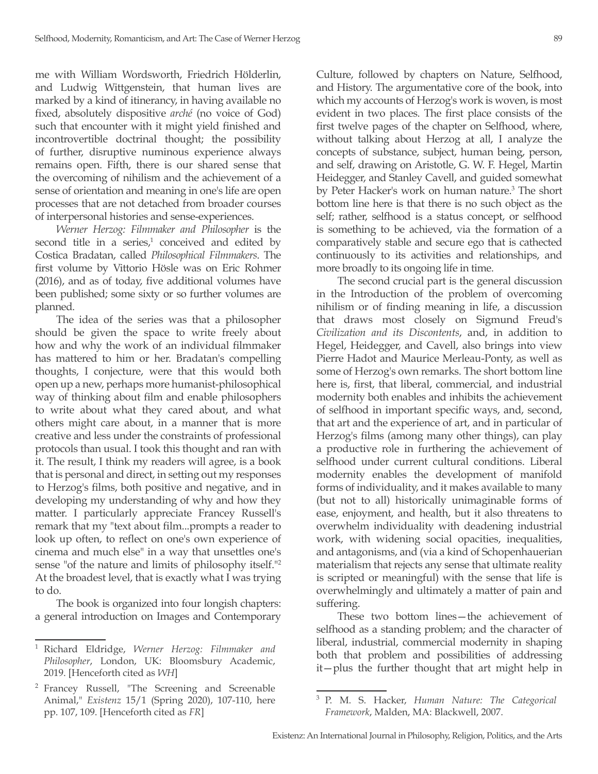me with William Wordsworth, Friedrich Hölderlin, and Ludwig Wittgenstein, that human lives are marked by a kind of itinerancy, in having available no fixed, absolutely dispositive *arché* (no voice of God) such that encounter with it might yield finished and incontrovertible doctrinal thought; the possibility of further, disruptive numinous experience always remains open. Fifth, there is our shared sense that the overcoming of nihilism and the achievement of a sense of orientation and meaning in one's life are open processes that are not detached from broader courses of interpersonal histories and sense-experiences.

*Werner Herzog: Filmmaker and Philosopher* is the second title in a series, $\frac{1}{2}$  conceived and edited by Costica Bradatan, called *Philosophical Filmmakers*. The first volume by Vittorio Hösle was on Eric Rohmer (2016), and as of today, five additional volumes have been published; some sixty or so further volumes are planned.

The idea of the series was that a philosopher should be given the space to write freely about how and why the work of an individual filmmaker has mattered to him or her. Bradatan's compelling thoughts, I conjecture, were that this would both open up a new, perhaps more humanist-philosophical way of thinking about film and enable philosophers to write about what they cared about, and what others might care about, in a manner that is more creative and less under the constraints of professional protocols than usual. I took this thought and ran with it. The result, I think my readers will agree, is a book that is personal and direct, in setting out my responses to Herzog's films, both positive and negative, and in developing my understanding of why and how they matter. I particularly appreciate Francey Russell's remark that my "text about film...prompts a reader to look up often, to reflect on one's own experience of cinema and much else" in a way that unsettles one's sense "of the nature and limits of philosophy itself."2 At the broadest level, that is exactly what I was trying to do.

The book is organized into four longish chapters: a general introduction on Images and Contemporary Culture, followed by chapters on Nature, Selfhood, and History. The argumentative core of the book, into which my accounts of Herzog's work is woven, is most evident in two places. The first place consists of the first twelve pages of the chapter on Selfhood, where, without talking about Herzog at all, I analyze the concepts of substance, subject, human being, person, and self, drawing on Aristotle, G. W. F. Hegel, Martin Heidegger, and Stanley Cavell, and guided somewhat by Peter Hacker's work on human nature.<sup>3</sup> The short bottom line here is that there is no such object as the self; rather, selfhood is a status concept, or selfhood is something to be achieved, via the formation of a comparatively stable and secure ego that is cathected continuously to its activities and relationships, and more broadly to its ongoing life in time.

The second crucial part is the general discussion in the Introduction of the problem of overcoming nihilism or of finding meaning in life, a discussion that draws most closely on Sigmund Freud's *Civilization and its Discontents*, and, in addition to Hegel, Heidegger, and Cavell, also brings into view Pierre Hadot and Maurice Merleau-Ponty, as well as some of Herzog's own remarks. The short bottom line here is, first, that liberal, commercial, and industrial modernity both enables and inhibits the achievement of selfhood in important specific ways, and, second, that art and the experience of art, and in particular of Herzog's films (among many other things), can play a productive role in furthering the achievement of selfhood under current cultural conditions. Liberal modernity enables the development of manifold forms of individuality, and it makes available to many (but not to all) historically unimaginable forms of ease, enjoyment, and health, but it also threatens to overwhelm individuality with deadening industrial work, with widening social opacities, inequalities, and antagonisms, and (via a kind of Schopenhauerian materialism that rejects any sense that ultimate reality is scripted or meaningful) with the sense that life is overwhelmingly and ultimately a matter of pain and suffering.

These two bottom lines—the achievement of selfhood as a standing problem; and the character of liberal, industrial, commercial modernity in shaping both that problem and possibilities of addressing it—plus the further thought that art might help in

<sup>1</sup> Richard Eldridge, *Werner Herzog: Filmmaker and Philosopher*, London, UK: Bloomsbury Academic, 2019. [Henceforth cited as *WH*]

<sup>2</sup> Francey Russell, "The Screening and Screenable Animal," *Existenz* 15/1 (Spring 2020), 107-110, here pp. 107, 109. [Henceforth cited as *FR*]

<sup>3</sup> P. M. S. Hacker, *Human Nature: The Categorical Framework*, Malden, MA: Blackwell, 2007.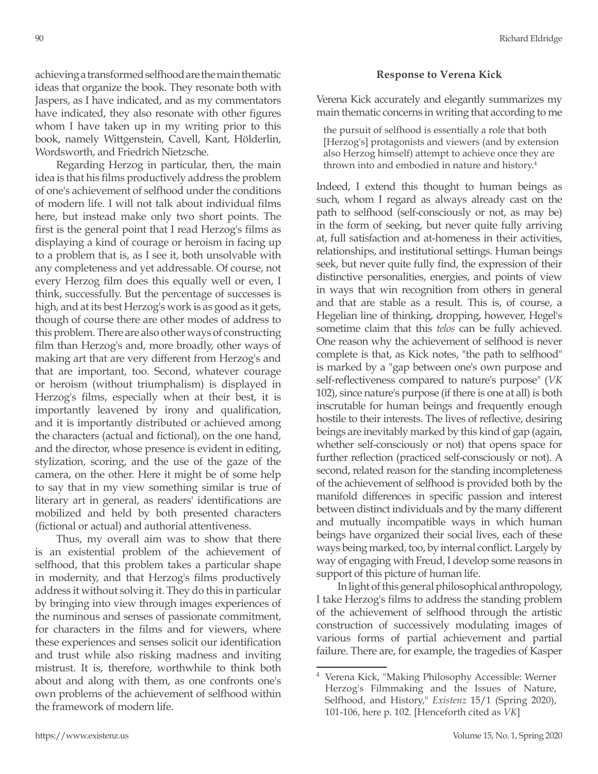achieving a transformed selfhood are the main thematic ideas that organize the book. They resonate both with Jaspers, as I have indicated, and as my commentators have indicated, they also resonate with other figures whom I have taken up in my writing prior to this book, namely Wittgenstein, Cavell, Kant, Hölderlin, Wordsworth, and Friedrich Nietzsche.

Regarding Herzog in particular, then, the main idea is that his films productively address the problem of one's achievement of selfhood under the conditions of modern life. I will not talk about individual films here, but instead make only two short points. The first is the general point that I read Herzog's films as displaying a kind of courage or heroism in facing up to a problem that is, as I see it, both unsolvable with any completeness and yet addressable. Of course, not every Herzog film does this equally well or even, I think, successfully. But the percentage of successes is high, and at its best Herzog's work is as good as it gets, though of course there are other modes of address to this problem. There are also other ways of constructing film than Herzog's and, more broadly, other ways of making art that are very different from Herzog's and that are important, too. Second, whatever courage or heroism (without triumphalism) is displayed in Herzog's films, especially when at their best, it is importantly leavened by irony and qualification, and it is importantly distributed or achieved among the characters (actual and fictional), on the one hand, and the director, whose presence is evident in editing, stylization, scoring, and the use of the gaze of the camera, on the other. Here it might be of some help to say that in my view something similar is true of literary art in general, as readers' identifications are mobilized and held by both presented characters (fictional or actual) and authorial attentiveness.

Thus, my overall aim was to show that there is an existential problem of the achievement of selfhood, that this problem takes a particular shape in modernity, and that Herzog's films productively address it without solving it. They do this in particular by bringing into view through images experiences of the numinous and senses of passionate commitment, for characters in the films and for viewers, where these experiences and senses solicit our identification and trust while also risking madness and inviting mistrust. It is, therefore, worthwhile to think both about and along with them, as one confronts one's own problems of the achievement of selfhood within the framework of modern life.

## **Response to Verena Kick**

Verena Kick accurately and elegantly summarizes my main thematic concerns in writing that according to me

the pursuit of selfhood is essentially a role that both [Herzog's] protagonists and viewers (and by extension also Herzog himself) attempt to achieve once they are thrown into and embodied in nature and history.<sup>4</sup>

Indeed, I extend this thought to human beings as such, whom I regard as always already cast on the path to selfhood (self-consciously or not, as may be) in the form of seeking, but never quite fully arriving at, full satisfaction and at-homeness in their activities, relationships, and institutional settings. Human beings seek, but never quite fully find, the expression of their distinctive personalities, energies, and points of view in ways that win recognition from others in general and that are stable as a result. This is, of course, a Hegelian line of thinking, dropping, however, Hegel's sometime claim that this *telos* can be fully achieved. One reason why the achievement of selfhood is never complete is that, as Kick notes, "the path to selfhood" is marked by a "gap between one's own purpose and self-reflectiveness compared to nature's purpose" (*VK* 102), since nature's purpose (if there is one at all) is both inscrutable for human beings and frequently enough hostile to their interests. The lives of reflective, desiring beings are inevitably marked by this kind of gap (again, whether self-consciously or not) that opens space for further reflection (practiced self-consciously or not). A second, related reason for the standing incompleteness of the achievement of selfhood is provided both by the manifold differences in specific passion and interest between distinct individuals and by the many different and mutually incompatible ways in which human beings have organized their social lives, each of these ways being marked, too, by internal conflict. Largely by way of engaging with Freud, I develop some reasons in support of this picture of human life.

In light of this general philosophical anthropology, I take Herzog's films to address the standing problem of the achievement of selfhood through the artistic construction of successively modulating images of various forms of partial achievement and partial failure. There are, for example, the tragedies of Kasper

<sup>4</sup> Verena Kick, "Making Philosophy Accessible: Werner Herzog's Filmmaking and the Issues of Nature, Selfhood, and History," *Existenz* 15/1 (Spring 2020), 101-106, here p. 102. [Henceforth cited as *VK*]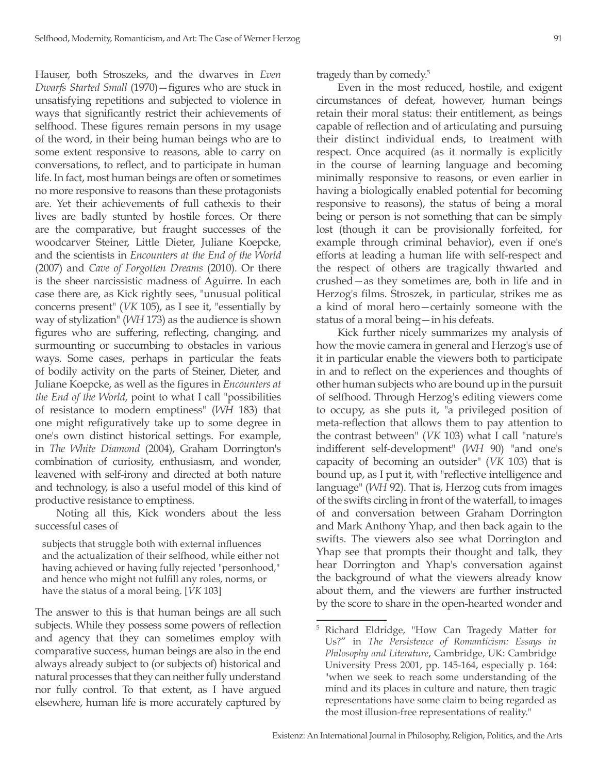Hauser, both Stroszeks, and the dwarves in *Even Dwarfs Started Small* (1970)—figures who are stuck in unsatisfying repetitions and subjected to violence in ways that significantly restrict their achievements of selfhood. These figures remain persons in my usage of the word, in their being human beings who are to some extent responsive to reasons, able to carry on conversations, to reflect, and to participate in human life. In fact, most human beings are often or sometimes no more responsive to reasons than these protagonists are. Yet their achievements of full cathexis to their lives are badly stunted by hostile forces. Or there are the comparative, but fraught successes of the woodcarver Steiner, Little Dieter, Juliane Koepcke, and the scientists in *Encounters at the End of the World* (2007) and *Cave of Forgotten Dreams* (2010). Or there is the sheer narcissistic madness of Aguirre. In each case there are, as Kick rightly sees, "unusual political concerns present" (*VK* 105), as I see it, "essentially by way of stylization" (*WH* 173) as the audience is shown figures who are suffering, reflecting, changing, and surmounting or succumbing to obstacles in various ways. Some cases, perhaps in particular the feats of bodily activity on the parts of Steiner, Dieter, and Juliane Koepcke, as well as the figures in *Encounters at the End of the World*, point to what I call "possibilities of resistance to modern emptiness" (*WH* 183) that one might refiguratively take up to some degree in one's own distinct historical settings. For example, in *The White Diamond* (2004), Graham Dorrington's combination of curiosity, enthusiasm, and wonder, leavened with self-irony and directed at both nature and technology, is also a useful model of this kind of productive resistance to emptiness.

Noting all this, Kick wonders about the less successful cases of

subjects that struggle both with external influences and the actualization of their selfhood, while either not having achieved or having fully rejected "personhood," and hence who might not fulfill any roles, norms, or have the status of a moral being. [*VK* 103]

The answer to this is that human beings are all such subjects. While they possess some powers of reflection and agency that they can sometimes employ with comparative success, human beings are also in the end always already subject to (or subjects of) historical and natural processes that they can neither fully understand nor fully control. To that extent, as I have argued elsewhere, human life is more accurately captured by

tragedy than by comedy.<sup>5</sup>

Even in the most reduced, hostile, and exigent circumstances of defeat, however, human beings retain their moral status: their entitlement, as beings capable of reflection and of articulating and pursuing their distinct individual ends, to treatment with respect. Once acquired (as it normally is explicitly in the course of learning language and becoming minimally responsive to reasons, or even earlier in having a biologically enabled potential for becoming responsive to reasons), the status of being a moral being or person is not something that can be simply lost (though it can be provisionally forfeited, for example through criminal behavior), even if one's efforts at leading a human life with self-respect and the respect of others are tragically thwarted and crushed—as they sometimes are, both in life and in Herzog's films. Stroszek, in particular, strikes me as a kind of moral hero—certainly someone with the status of a moral being—in his defeats.

Kick further nicely summarizes my analysis of how the movie camera in general and Herzog's use of it in particular enable the viewers both to participate in and to reflect on the experiences and thoughts of other human subjects who are bound up in the pursuit of selfhood. Through Herzog's editing viewers come to occupy, as she puts it, "a privileged position of meta-reflection that allows them to pay attention to the contrast between" (*VK* 103) what I call "nature's indifferent self-development" (*WH* 90) "and one's capacity of becoming an outsider" (*VK* 103) that is bound up, as I put it, with "reflective intelligence and language" (*WH* 92). That is, Herzog cuts from images of the swifts circling in front of the waterfall, to images of and conversation between Graham Dorrington and Mark Anthony Yhap, and then back again to the swifts. The viewers also see what Dorrington and Yhap see that prompts their thought and talk, they hear Dorrington and Yhap's conversation against the background of what the viewers already know about them, and the viewers are further instructed by the score to share in the open-hearted wonder and

<sup>5</sup> Richard Eldridge, "How Can Tragedy Matter for Us?" in *The Persistence of Romanticism: Essays in Philosophy and Literature*, Cambridge, UK: Cambridge University Press 2001, pp. 145-164, especially p. 164: "when we seek to reach some understanding of the mind and its places in culture and nature, then tragic representations have some claim to being regarded as the most illusion-free representations of reality."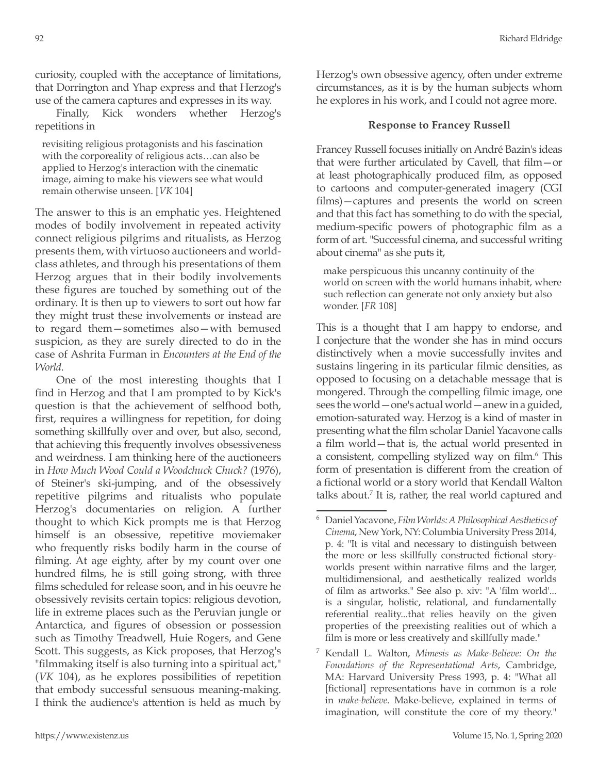curiosity, coupled with the acceptance of limitations, that Dorrington and Yhap express and that Herzog's use of the camera captures and expresses in its way.

Finally, Kick wonders whether Herzog's repetitions in

revisiting religious protagonists and his fascination with the corporeality of religious acts…can also be applied to Herzog's interaction with the cinematic image, aiming to make his viewers see what would remain otherwise unseen. [*VK* 104]

The answer to this is an emphatic yes. Heightened modes of bodily involvement in repeated activity connect religious pilgrims and ritualists, as Herzog presents them, with virtuoso auctioneers and worldclass athletes, and through his presentations of them Herzog argues that in their bodily involvements these figures are touched by something out of the ordinary. It is then up to viewers to sort out how far they might trust these involvements or instead are to regard them—sometimes also—with bemused suspicion, as they are surely directed to do in the case of Ashrita Furman in *Encounters at the End of the World*.

One of the most interesting thoughts that I find in Herzog and that I am prompted to by Kick's question is that the achievement of selfhood both, first, requires a willingness for repetition, for doing something skillfully over and over, but also, second, that achieving this frequently involves obsessiveness and weirdness. I am thinking here of the auctioneers in *How Much Wood Could a Woodchuck Chuck?* (1976), of Steiner's ski-jumping, and of the obsessively repetitive pilgrims and ritualists who populate Herzog's documentaries on religion. A further thought to which Kick prompts me is that Herzog himself is an obsessive, repetitive moviemaker who frequently risks bodily harm in the course of filming. At age eighty, after by my count over one hundred films, he is still going strong, with three films scheduled for release soon, and in his oeuvre he obsessively revisits certain topics: religious devotion, life in extreme places such as the Peruvian jungle or Antarctica, and figures of obsession or possession such as Timothy Treadwell, Huie Rogers, and Gene Scott. This suggests, as Kick proposes, that Herzog's "filmmaking itself is also turning into a spiritual act," (*VK* 104), as he explores possibilities of repetition that embody successful sensuous meaning-making. I think the audience's attention is held as much by

Herzog's own obsessive agency, often under extreme circumstances, as it is by the human subjects whom he explores in his work, and I could not agree more.

# **Response to Francey Russell**

Francey Russell focuses initially on André Bazin's ideas that were further articulated by Cavell, that film—or at least photographically produced film, as opposed to cartoons and computer-generated imagery (CGI films)—captures and presents the world on screen and that this fact has something to do with the special, medium-specific powers of photographic film as a form of art. "Successful cinema, and successful writing about cinema" as she puts it,

make perspicuous this uncanny continuity of the world on screen with the world humans inhabit, where such reflection can generate not only anxiety but also wonder. [*FR* 108]

This is a thought that I am happy to endorse, and I conjecture that the wonder she has in mind occurs distinctively when a movie successfully invites and sustains lingering in its particular filmic densities, as opposed to focusing on a detachable message that is mongered. Through the compelling filmic image, one sees the world—one's actual world—anew in a guided, emotion-saturated way. Herzog is a kind of master in presenting what the film scholar Daniel Yacavone calls a film world—that is, the actual world presented in a consistent, compelling stylized way on film.<sup>6</sup> This form of presentation is different from the creation of a fictional world or a story world that Kendall Walton talks about.<sup>7</sup> It is, rather, the real world captured and

<sup>6</sup> Daniel Yacavone, *Film Worlds: A Philosophical Aesthetics of Cinema*, New York, NY: Columbia University Press 2014, p. 4: "It is vital and necessary to distinguish between the more or less skillfully constructed fictional storyworlds present within narrative films and the larger, multidimensional, and aesthetically realized worlds of film as artworks." See also p. xiv: "A 'film world'... is a singular, holistic, relational, and fundamentally referential reality...that relies heavily on the given properties of the preexisting realities out of which a film is more or less creatively and skillfully made."

<sup>7</sup> Kendall L. Walton, *Mimesis as Make-Believe: On the Foundations of the Representational Arts*, Cambridge, MA: Harvard University Press 1993, p. 4: "What all [fictional] representations have in common is a role in *make-believe*. Make-believe, explained in terms of imagination, will constitute the core of my theory."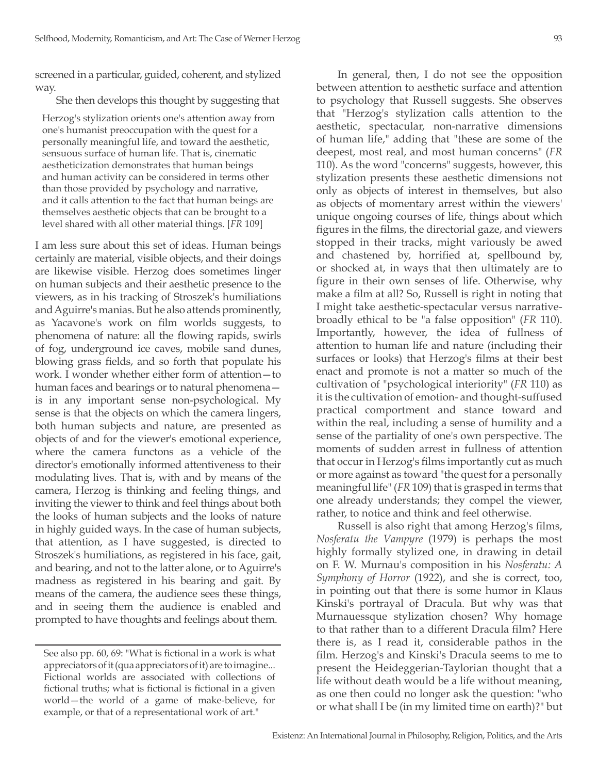screened in a particular, guided, coherent, and stylized way.

#### She then develops this thought by suggesting that

Herzog's stylization orients one's attention away from one's humanist preoccupation with the quest for a personally meaningful life, and toward the aesthetic, sensuous surface of human life. That is, cinematic aestheticization demonstrates that human beings and human activity can be considered in terms other than those provided by psychology and narrative, and it calls attention to the fact that human beings are themselves aesthetic objects that can be brought to a level shared with all other material things. [*FR* 109]

I am less sure about this set of ideas. Human beings certainly are material, visible objects, and their doings are likewise visible. Herzog does sometimes linger on human subjects and their aesthetic presence to the viewers, as in his tracking of Stroszek's humiliations and Aguirre's manias. But he also attends prominently, as Yacavone's work on film worlds suggests, to phenomena of nature: all the flowing rapids, swirls of fog, underground ice caves, mobile sand dunes, blowing grass fields, and so forth that populate his work. I wonder whether either form of attention—to human faces and bearings or to natural phenomena is in any important sense non-psychological. My sense is that the objects on which the camera lingers, both human subjects and nature, are presented as objects of and for the viewer's emotional experience, where the camera functons as a vehicle of the director's emotionally informed attentiveness to their modulating lives. That is, with and by means of the camera, Herzog is thinking and feeling things, and inviting the viewer to think and feel things about both the looks of human subjects and the looks of nature in highly guided ways. In the case of human subjects, that attention, as I have suggested, is directed to Stroszek's humiliations, as registered in his face, gait, and bearing, and not to the latter alone, or to Aguirre's madness as registered in his bearing and gait. By means of the camera, the audience sees these things, and in seeing them the audience is enabled and prompted to have thoughts and feelings about them.

In general, then, I do not see the opposition between attention to aesthetic surface and attention to psychology that Russell suggests. She observes that "Herzog's stylization calls attention to the aesthetic, spectacular, non-narrative dimensions of human life," adding that "these are some of the deepest, most real, and most human concerns" (*FR* 110). As the word "concerns" suggests, however, this stylization presents these aesthetic dimensions not only as objects of interest in themselves, but also as objects of momentary arrest within the viewers' unique ongoing courses of life, things about which figures in the films, the directorial gaze, and viewers stopped in their tracks, might variously be awed and chastened by, horrified at, spellbound by, or shocked at, in ways that then ultimately are to figure in their own senses of life. Otherwise, why make a film at all? So, Russell is right in noting that I might take aesthetic-spectacular versus narrativebroadly ethical to be "a false opposition" (*FR* 110). Importantly, however, the idea of fullness of attention to human life and nature (including their surfaces or looks) that Herzog's films at their best enact and promote is not a matter so much of the cultivation of "psychological interiority" (*FR* 110) as it is the cultivation of emotion- and thought-suffused practical comportment and stance toward and within the real, including a sense of humility and a sense of the partiality of one's own perspective. The moments of sudden arrest in fullness of attention that occur in Herzog's films importantly cut as much or more against as toward "the quest for a personally meaningful life" (*FR* 109) that is grasped in terms that one already understands; they compel the viewer, rather, to notice and think and feel otherwise.

Russell is also right that among Herzog's films, *Nosferatu the Vampyre* (1979) is perhaps the most highly formally stylized one, in drawing in detail on F. W. Murnau's composition in his *Nosferatu: A Symphony of Horror* (1922), and she is correct, too, in pointing out that there is some humor in Klaus Kinski's portrayal of Dracula. But why was that Murnauessque stylization chosen? Why homage to that rather than to a different Dracula film? Here there is, as I read it, considerable pathos in the film. Herzog's and Kinski's Dracula seems to me to present the Heideggerian-Taylorian thought that a life without death would be a life without meaning, as one then could no longer ask the question: "who or what shall I be (in my limited time on earth)?" but

See also pp. 60, 69: "What is fictional in a work is what appreciators of it (qua appreciators of it) are to imagine... Fictional worlds are associated with collections of fictional truths; what is fictional is fictional in a given world—the world of a game of make-believe, for example, or that of a representational work of art."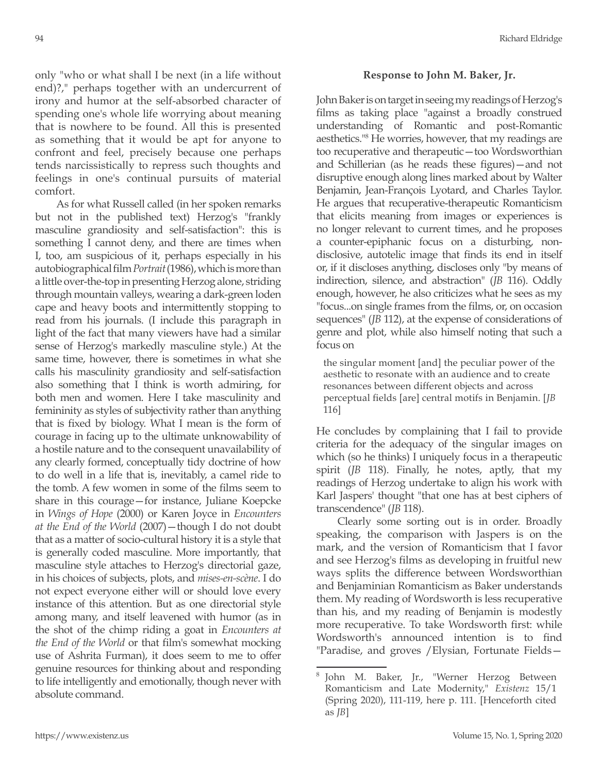only "who or what shall I be next (in a life without end)?," perhaps together with an undercurrent of irony and humor at the self-absorbed character of spending one's whole life worrying about meaning that is nowhere to be found. All this is presented as something that it would be apt for anyone to confront and feel, precisely because one perhaps tends narcissistically to repress such thoughts and feelings in one's continual pursuits of material comfort.

As for what Russell called (in her spoken remarks but not in the published text) Herzog's "frankly masculine grandiosity and self-satisfaction": this is something I cannot deny, and there are times when I, too, am suspicious of it, perhaps especially in his autobiographical film *Portrait* (1986), which is more than a little over-the-top in presenting Herzog alone, striding through mountain valleys, wearing a dark-green loden cape and heavy boots and intermittently stopping to read from his journals. (I include this paragraph in light of the fact that many viewers have had a similar sense of Herzog's markedly masculine style.) At the same time, however, there is sometimes in what she calls his masculinity grandiosity and self-satisfaction also something that I think is worth admiring, for both men and women. Here I take masculinity and femininity as styles of subjectivity rather than anything that is fixed by biology. What I mean is the form of courage in facing up to the ultimate unknowability of a hostile nature and to the consequent unavailability of any clearly formed, conceptually tidy doctrine of how to do well in a life that is, inevitably, a camel ride to the tomb. A few women in some of the films seem to share in this courage—for instance, Juliane Koepcke in *Wings of Hope* (2000) or Karen Joyce in *Encounters at the End of the World* (2007)—though I do not doubt that as a matter of socio-cultural history it is a style that is generally coded masculine. More importantly, that masculine style attaches to Herzog's directorial gaze, in his choices of subjects, plots, and *mises-en-scène*. I do not expect everyone either will or should love every instance of this attention. But as one directorial style among many, and itself leavened with humor (as in the shot of the chimp riding a goat in *Encounters at the End of the World* or that film's somewhat mocking use of Ashrita Furman), it does seem to me to offer genuine resources for thinking about and responding to life intelligently and emotionally, though never with absolute command.

94 Richard Eldridge

### **Response to John M. Baker, Jr.**

John Baker is on target in seeing my readings of Herzog's films as taking place "against a broadly construed understanding of Romantic and post-Romantic aesthetics."<sup>8</sup> He worries, however, that my readings are too recuperative and therapeutic—too Wordsworthian and Schillerian (as he reads these figures)—and not disruptive enough along lines marked about by Walter Benjamin, Jean-François Lyotard, and Charles Taylor. He argues that recuperative-therapeutic Romanticism that elicits meaning from images or experiences is no longer relevant to current times, and he proposes a counter-epiphanic focus on a disturbing, nondisclosive, autotelic image that finds its end in itself or, if it discloses anything, discloses only "by means of indirection, silence, and abstraction" (*JB* 116). Oddly enough, however, he also criticizes what he sees as my "focus...on single frames from the films, or, on occasion sequences" (*JB* 112), at the expense of considerations of genre and plot, while also himself noting that such a focus on

the singular moment [and] the peculiar power of the aesthetic to resonate with an audience and to create resonances between different objects and across perceptual fields [are] central motifs in Benjamin. [*JB* 116]

He concludes by complaining that I fail to provide criteria for the adequacy of the singular images on which (so he thinks) I uniquely focus in a therapeutic spirit (*JB* 118). Finally, he notes, aptly, that my readings of Herzog undertake to align his work with Karl Jaspers' thought "that one has at best ciphers of transcendence" (*JB* 118).

Clearly some sorting out is in order. Broadly speaking, the comparison with Jaspers is on the mark, and the version of Romanticism that I favor and see Herzog's films as developing in fruitful new ways splits the difference between Wordsworthian and Benjaminian Romanticism as Baker understands them. My reading of Wordsworth is less recuperative than his, and my reading of Benjamin is modestly more recuperative. To take Wordsworth first: while Wordsworth's announced intention is to find "Paradise, and groves /Elysian, Fortunate Fields—

<sup>8</sup> John M. Baker, Jr., "Werner Herzog Between Romanticism and Late Modernity," *Existenz* 15/1 (Spring 2020), 111-119, here p. 111. [Henceforth cited as *JB*]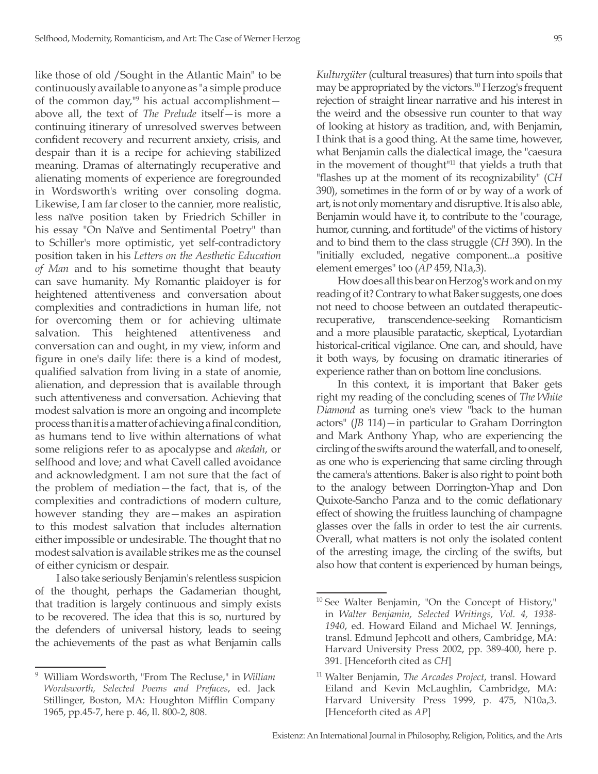like those of old /Sought in the Atlantic Main" to be continuously available to anyone as "a simple produce of the common day,"9 his actual accomplishment above all, the text of *The Prelude* itself—is more a continuing itinerary of unresolved swerves between confident recovery and recurrent anxiety, crisis, and despair than it is a recipe for achieving stabilized meaning. Dramas of alternatingly recuperative and alienating moments of experience are foregrounded in Wordsworth's writing over consoling dogma. Likewise, I am far closer to the cannier, more realistic, less naïve position taken by Friedrich Schiller in his essay "On Naïve and Sentimental Poetry" than to Schiller's more optimistic, yet self-contradictory position taken in his *Letters on the Aesthetic Education of Man* and to his sometime thought that beauty can save humanity. My Romantic plaidoyer is for heightened attentiveness and conversation about complexities and contradictions in human life, not for overcoming them or for achieving ultimate salvation. This heightened attentiveness and conversation can and ought, in my view, inform and figure in one's daily life: there is a kind of modest, qualified salvation from living in a state of anomie, alienation, and depression that is available through such attentiveness and conversation. Achieving that modest salvation is more an ongoing and incomplete process than it is a matter of achieving a final condition, as humans tend to live within alternations of what some religions refer to as apocalypse and *akedah*, or selfhood and love; and what Cavell called avoidance and acknowledgment. I am not sure that the fact of the problem of mediation—the fact, that is, of the complexities and contradictions of modern culture, however standing they are—makes an aspiration to this modest salvation that includes alternation either impossible or undesirable. The thought that no modest salvation is available strikes me as the counsel of either cynicism or despair.

I also take seriously Benjamin's relentless suspicion of the thought, perhaps the Gadamerian thought, that tradition is largely continuous and simply exists to be recovered. The idea that this is so, nurtured by the defenders of universal history, leads to seeing the achievements of the past as what Benjamin calls

*Kulturgüter* (cultural treasures) that turn into spoils that may be appropriated by the victors.10 Herzog's frequent rejection of straight linear narrative and his interest in the weird and the obsessive run counter to that way of looking at history as tradition, and, with Benjamin, I think that is a good thing. At the same time, however, what Benjamin calls the dialectical image, the "caesura in the movement of thought"<sup>11</sup> that yields a truth that "flashes up at the moment of its recognizability" (*CH* 390), sometimes in the form of or by way of a work of art, is not only momentary and disruptive. It is also able, Benjamin would have it, to contribute to the "courage, humor, cunning, and fortitude" of the victims of history and to bind them to the class struggle (*CH* 390). In the "initially excluded, negative component...a positive element emerges" too (*AP* 459, N1a,3).

How does all this bear on Herzog's work and on my reading of it? Contrary to what Baker suggests, one does not need to choose between an outdated therapeuticrecuperative, transcendence-seeking Romanticism and a more plausible paratactic, skeptical, Lyotardian historical-critical vigilance. One can, and should, have it both ways, by focusing on dramatic itineraries of experience rather than on bottom line conclusions.

In this context, it is important that Baker gets right my reading of the concluding scenes of *The White Diamond* as turning one's view "back to the human actors" (*JB* 114)—in particular to Graham Dorrington and Mark Anthony Yhap, who are experiencing the circling of the swifts around the waterfall, and to oneself, as one who is experiencing that same circling through the camera's attentions. Baker is also right to point both to the analogy between Dorrington-Yhap and Don Quixote-Sancho Panza and to the comic deflationary effect of showing the fruitless launching of champagne glasses over the falls in order to test the air currents. Overall, what matters is not only the isolated content of the arresting image, the circling of the swifts, but also how that content is experienced by human beings,

<sup>9</sup> William Wordsworth, "From The Recluse," in *William Wordsworth, Selected Poems and Prefaces*, ed. Jack Stillinger, Boston, MA: Houghton Mifflin Company 1965, pp.45-7, here p. 46, ll. 800-2, 808.

<sup>&</sup>lt;sup>10</sup> See Walter Benjamin, "On the Concept of History," in *Walter Benjamin, Selected Writings, Vol. 4, 1938- 1940*, ed. Howard Eiland and Michael W. Jennings, transl. Edmund Jephcott and others, Cambridge, MA: Harvard University Press 2002, pp. 389-400, here p. 391. [Henceforth cited as *CH*]

<sup>11</sup> Walter Benjamin, *The Arcades Project*, transl. Howard Eiland and Kevin McLaughlin, Cambridge, MA: Harvard University Press 1999, p. 475, N10a,3. [Henceforth cited as *AP*]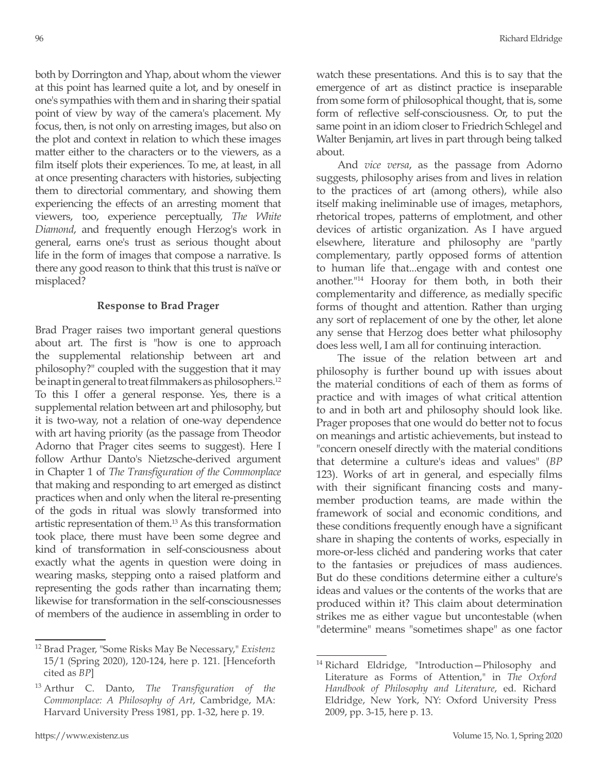both by Dorrington and Yhap, about whom the viewer at this point has learned quite a lot, and by oneself in one's sympathies with them and in sharing their spatial point of view by way of the camera's placement. My focus, then, is not only on arresting images, but also on the plot and context in relation to which these images matter either to the characters or to the viewers, as a film itself plots their experiences. To me, at least, in all at once presenting characters with histories, subjecting them to directorial commentary, and showing them experiencing the effects of an arresting moment that viewers, too, experience perceptually, *The White Diamond*, and frequently enough Herzog's work in general, earns one's trust as serious thought about life in the form of images that compose a narrative. Is there any good reason to think that this trust is naïve or misplaced?

# **Response to Brad Prager**

Brad Prager raises two important general questions about art. The first is "how is one to approach the supplemental relationship between art and philosophy?" coupled with the suggestion that it may be inapt in general to treat filmmakers as philosophers.<sup>12</sup> To this I offer a general response. Yes, there is a supplemental relation between art and philosophy, but it is two-way, not a relation of one-way dependence with art having priority (as the passage from Theodor Adorno that Prager cites seems to suggest). Here I follow Arthur Danto's Nietzsche-derived argument in Chapter 1 of *The Transfiguration of the Commonplace*  that making and responding to art emerged as distinct practices when and only when the literal re-presenting of the gods in ritual was slowly transformed into artistic representation of them.<sup>13</sup> As this transformation took place, there must have been some degree and kind of transformation in self-consciousness about exactly what the agents in question were doing in wearing masks, stepping onto a raised platform and representing the gods rather than incarnating them; likewise for transformation in the self-consciousnesses of members of the audience in assembling in order to

watch these presentations. And this is to say that the emergence of art as distinct practice is inseparable from some form of philosophical thought, that is, some form of reflective self-consciousness. Or, to put the same point in an idiom closer to Friedrich Schlegel and Walter Benjamin, art lives in part through being talked about.

And *vice versa*, as the passage from Adorno suggests, philosophy arises from and lives in relation to the practices of art (among others), while also itself making ineliminable use of images, metaphors, rhetorical tropes, patterns of emplotment, and other devices of artistic organization. As I have argued elsewhere, literature and philosophy are "partly complementary, partly opposed forms of attention to human life that...engage with and contest one another."<sup>14</sup> Hooray for them both, in both their complementarity and difference, as medially specific forms of thought and attention. Rather than urging any sort of replacement of one by the other, let alone any sense that Herzog does better what philosophy does less well, I am all for continuing interaction.

The issue of the relation between art and philosophy is further bound up with issues about the material conditions of each of them as forms of practice and with images of what critical attention to and in both art and philosophy should look like. Prager proposes that one would do better not to focus on meanings and artistic achievements, but instead to "concern oneself directly with the material conditions that determine a culture's ideas and values" (*BP* 123). Works of art in general, and especially films with their significant financing costs and manymember production teams, are made within the framework of social and economic conditions, and these conditions frequently enough have a significant share in shaping the contents of works, especially in more-or-less clichéd and pandering works that cater to the fantasies or prejudices of mass audiences. But do these conditions determine either a culture's ideas and values or the contents of the works that are produced within it? This claim about determination strikes me as either vague but uncontestable (when "determine" means "sometimes shape" as one factor

<sup>12</sup> Brad Prager, "Some Risks May Be Necessary," *Existenz* 15/1 (Spring 2020), 120-124, here p. 121. [Henceforth cited as *BP*]

<sup>13</sup> Arthur C. Danto, *The Transfiguration of the Commonplace: A Philosophy of Art*, Cambridge, MA: Harvard University Press 1981, pp. 1-32, here p. 19.

<sup>&</sup>lt;sup>14</sup> Richard Eldridge, "Introduction-Philosophy and Literature as Forms of Attention," in *The Oxford Handbook of Philosophy and Literature*, ed. Richard Eldridge, New York, NY: Oxford University Press 2009, pp. 3-15, here p. 13.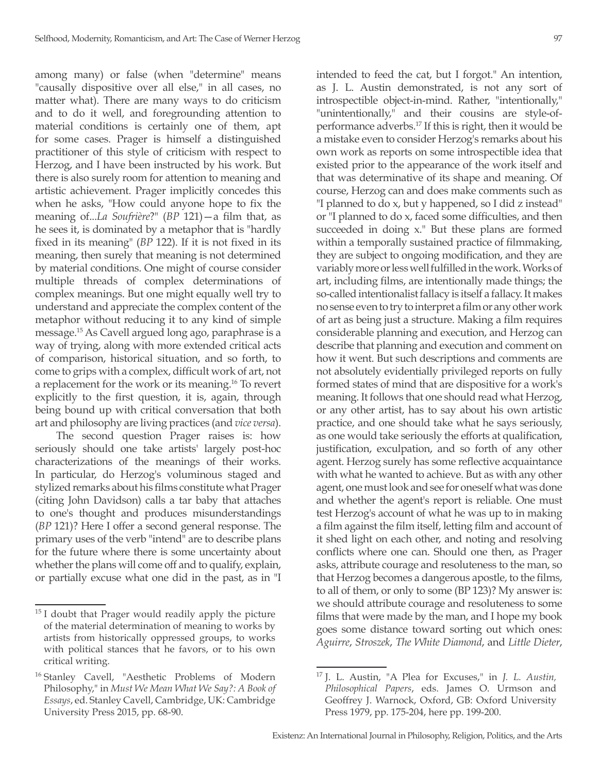among many) or false (when "determine" means "causally dispositive over all else," in all cases, no matter what). There are many ways to do criticism and to do it well, and foregrounding attention to material conditions is certainly one of them, apt for some cases. Prager is himself a distinguished practitioner of this style of criticism with respect to Herzog, and I have been instructed by his work. But there is also surely room for attention to meaning and artistic achievement. Prager implicitly concedes this when he asks, "How could anyone hope to fix the meaning of...*La Soufrière*?" (*BP* 121)—a film that, as he sees it, is dominated by a metaphor that is "hardly fixed in its meaning" (*BP* 122). If it is not fixed in its meaning, then surely that meaning is not determined by material conditions. One might of course consider multiple threads of complex determinations of complex meanings. But one might equally well try to understand and appreciate the complex content of the metaphor without reducing it to any kind of simple message.<sup>15</sup> As Cavell argued long ago, paraphrase is a way of trying, along with more extended critical acts of comparison, historical situation, and so forth, to come to grips with a complex, difficult work of art, not a replacement for the work or its meaning.16 To revert explicitly to the first question, it is, again, through being bound up with critical conversation that both art and philosophy are living practices (and *vice versa*).

The second question Prager raises is: how seriously should one take artists' largely post-hoc characterizations of the meanings of their works. In particular, do Herzog's voluminous staged and stylized remarks about his films constitute what Prager (citing John Davidson) calls a tar baby that attaches to one's thought and produces misunderstandings (*BP* 121)? Here I offer a second general response. The primary uses of the verb "intend" are to describe plans for the future where there is some uncertainty about whether the plans will come off and to qualify, explain, or partially excuse what one did in the past, as in "I intended to feed the cat, but I forgot." An intention, as J. L. Austin demonstrated, is not any sort of introspectible object-in-mind. Rather, "intentionally," "unintentionally," and their cousins are style-ofperformance adverbs.17 If this is right, then it would be a mistake even to consider Herzog's remarks about his own work as reports on some introspectible idea that existed prior to the appearance of the work itself and that was determinative of its shape and meaning. Of course, Herzog can and does make comments such as "I planned to do x, but y happened, so I did z instead" or "I planned to do x, faced some difficulties, and then succeeded in doing x." But these plans are formed within a temporally sustained practice of filmmaking, they are subject to ongoing modification, and they are variably more or less well fulfilled in the work. Works of art, including films, are intentionally made things; the so-called intentionalist fallacy is itself a fallacy. It makes no sense even to try to interpret a film or any other work of art as being just a structure. Making a film requires considerable planning and execution, and Herzog can describe that planning and execution and comment on how it went. But such descriptions and comments are not absolutely evidentially privileged reports on fully formed states of mind that are dispositive for a work's meaning. It follows that one should read what Herzog, or any other artist, has to say about his own artistic practice, and one should take what he says seriously, as one would take seriously the efforts at qualification, justification, exculpation, and so forth of any other agent. Herzog surely has some reflective acquaintance with what he wanted to achieve. But as with any other agent, one must look and see for oneself what was done and whether the agent's report is reliable. One must test Herzog's account of what he was up to in making a film against the film itself, letting film and account of it shed light on each other, and noting and resolving conflicts where one can. Should one then, as Prager asks, attribute courage and resoluteness to the man, so that Herzog becomes a dangerous apostle, to the films, to all of them, or only to some (BP 123)? My answer is: we should attribute courage and resoluteness to some films that were made by the man, and I hope my book goes some distance toward sorting out which ones: *Aguirre*, *Stroszek*, *The White Diamond*, and *Little Dieter*,

 $15$  I doubt that Prager would readily apply the picture of the material determination of meaning to works by artists from historically oppressed groups, to works with political stances that he favors, or to his own critical writing.

<sup>&</sup>lt;sup>16</sup> Stanley Cavell, "Aesthetic Problems of Modern Philosophy," in *Must We Mean What We Say?: A Book of Essays*, ed. Stanley Cavell, Cambridge, UK: Cambridge University Press 2015, pp. 68-90.

<sup>17</sup> J. L. Austin, "A Plea for Excuses," in *J. L. Austin, Philosophical Papers*, eds. James O. Urmson and Geoffrey J. Warnock, Oxford, GB: Oxford University Press 1979, pp. 175-204, here pp. 199-200.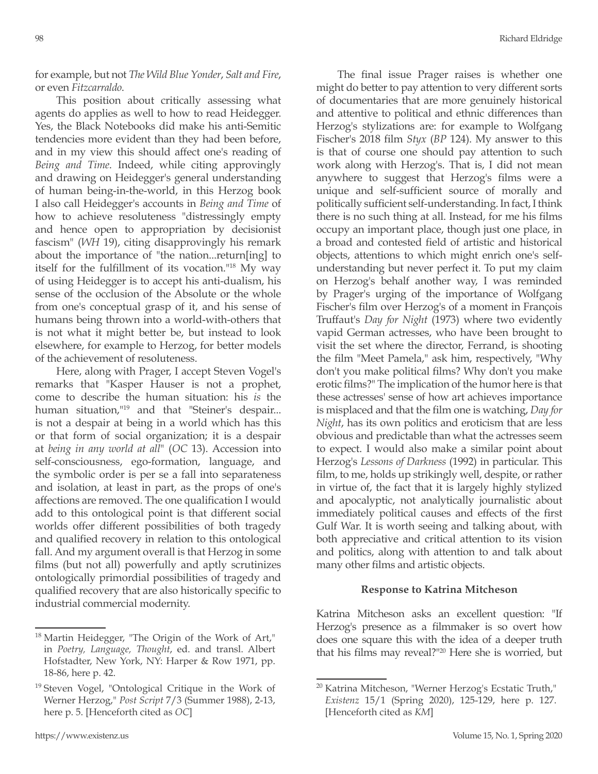for example, but not *The Wild Blue Yonder*, *Salt and Fire*, or even *Fitzcarraldo*.

This position about critically assessing what agents do applies as well to how to read Heidegger. Yes, the Black Notebooks did make his anti-Semitic tendencies more evident than they had been before, and in my view this should affect one's reading of *Being and Time*. Indeed, while citing approvingly and drawing on Heidegger's general understanding of human being-in-the-world, in this Herzog book I also call Heidegger's accounts in *Being and Time* of how to achieve resoluteness "distressingly empty and hence open to appropriation by decisionist fascism" (*WH* 19), citing disapprovingly his remark about the importance of "the nation...return[ing] to itself for the fulfillment of its vocation."<sup>18</sup> My way of using Heidegger is to accept his anti-dualism, his sense of the occlusion of the Absolute or the whole from one's conceptual grasp of it, and his sense of humans being thrown into a world-with-others that is not what it might better be, but instead to look elsewhere, for example to Herzog, for better models of the achievement of resoluteness.

Here, along with Prager, I accept Steven Vogel's remarks that "Kasper Hauser is not a prophet, come to describe the human situation: his *is* the human situation,<sup>119</sup> and that "Steiner's despair... is not a despair at being in a world which has this or that form of social organization; it is a despair at *being in any world at all*" (*OC* 13). Accession into self-consciousness, ego-formation, language, and the symbolic order is per se a fall into separateness and isolation, at least in part, as the props of one's affections are removed. The one qualification I would add to this ontological point is that different social worlds offer different possibilities of both tragedy and qualified recovery in relation to this ontological fall. And my argument overall is that Herzog in some films (but not all) powerfully and aptly scrutinizes ontologically primordial possibilities of tragedy and qualified recovery that are also historically specific to industrial commercial modernity.

The final issue Prager raises is whether one might do better to pay attention to very different sorts of documentaries that are more genuinely historical and attentive to political and ethnic differences than Herzog's stylizations are: for example to Wolfgang Fischer's 2018 film *Styx* (*BP* 124). My answer to this is that of course one should pay attention to such work along with Herzog's. That is, I did not mean anywhere to suggest that Herzog's films were a unique and self-sufficient source of morally and politically sufficient self-understanding. In fact, I think there is no such thing at all. Instead, for me his films occupy an important place, though just one place, in a broad and contested field of artistic and historical objects, attentions to which might enrich one's selfunderstanding but never perfect it. To put my claim on Herzog's behalf another way, I was reminded by Prager's urging of the importance of Wolfgang Fischer's film over Herzog's of a moment in François Truffaut's *Day for Night* (1973) where two evidently vapid German actresses, who have been brought to visit the set where the director, Ferrand, is shooting the film "Meet Pamela," ask him, respectively, "Why don't you make political films? Why don't you make erotic films?" The implication of the humor here is that these actresses' sense of how art achieves importance is misplaced and that the film one is watching, *Day for Night*, has its own politics and eroticism that are less obvious and predictable than what the actresses seem to expect. I would also make a similar point about Herzog's *Lessons of Darkness* (1992) in particular. This film, to me, holds up strikingly well, despite, or rather in virtue of, the fact that it is largely highly stylized and apocalyptic, not analytically journalistic about immediately political causes and effects of the first Gulf War. It is worth seeing and talking about, with both appreciative and critical attention to its vision and politics, along with attention to and talk about many other films and artistic objects.

# **Response to Katrina Mitcheson**

Katrina Mitcheson asks an excellent question: "If Herzog's presence as a filmmaker is so overt how does one square this with the idea of a deeper truth that his films may reveal?"20 Here she is worried, but

 $18$  Martin Heidegger, "The Origin of the Work of Art," in *Poetry, Language, Thought*, ed. and transl. Albert Hofstadter, New York, NY: Harper & Row 1971, pp. 18-86, here p. 42.

<sup>19</sup> Steven Vogel, "Ontological Critique in the Work of Werner Herzog," *Post Script* 7/3 (Summer 1988), 2-13, here p. 5. [Henceforth cited as *OC*]

<sup>20</sup> Katrina Mitcheson, "Werner Herzog's Ecstatic Truth," *Existenz* 15/1 (Spring 2020), 125-129, here p. 127. [Henceforth cited as *KM*]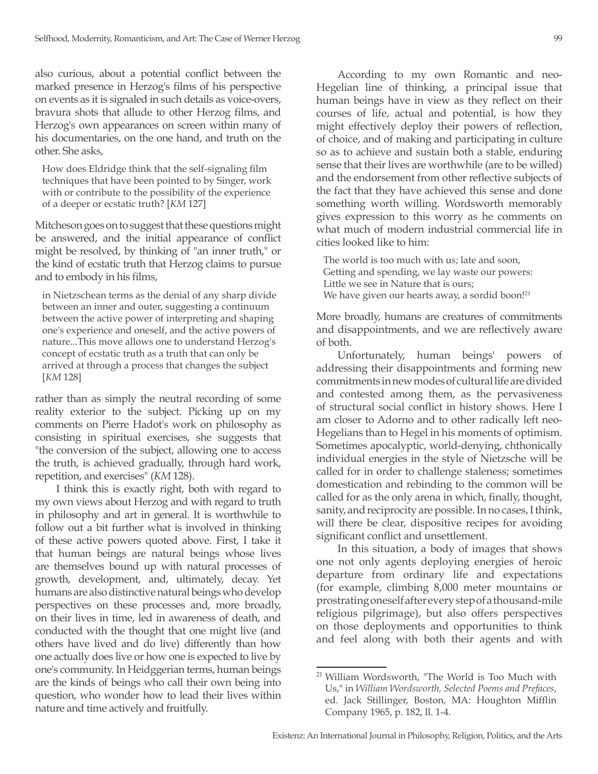also curious, about a potential conflict between the marked presence in Herzog's films of his perspective on events as it is signaled in such details as voice-overs, bravura shots that allude to other Herzog films, and Herzog's own appearances on screen within many of his documentaries, on the one hand, and truth on the other. She asks,

How does Eldridge think that the self-signaling film techniques that have been pointed to by Singer, work with or contribute to the possibility of the experience of a deeper or ecstatic truth? [*KM* 127]

Mitcheson goes on to suggest that these questions might be answered, and the initial appearance of conflict might be resolved, by thinking of "an inner truth," or the kind of ecstatic truth that Herzog claims to pursue and to embody in his films,

in Nietzschean terms as the denial of any sharp divide between an inner and outer, suggesting a continuum between the active power of interpreting and shaping one's experience and oneself, and the active powers of nature...This move allows one to understand Herzog's concept of ecstatic truth as a truth that can only be arrived at through a process that changes the subject [*KM* 128]

rather than as simply the neutral recording of some reality exterior to the subject. Picking up on my comments on Pierre Hadot's work on philosophy as consisting in spiritual exercises, she suggests that "the conversion of the subject, allowing one to access the truth, is achieved gradually, through hard work, repetition, and exercises" (*KM* 128).

I think this is exactly right, both with regard to my own views about Herzog and with regard to truth in philosophy and art in general. It is worthwhile to follow out a bit further what is involved in thinking of these active powers quoted above. First, I take it that human beings are natural beings whose lives are themselves bound up with natural processes of growth, development, and, ultimately, decay. Yet humans are also distinctive natural beings who develop perspectives on these processes and, more broadly, on their lives in time, led in awareness of death, and conducted with the thought that one might live (and others have lived and do live) differently than how one actually does live or how one is expected to live by one's community. In Heidggerian terms, human beings are the kinds of beings who call their own being into question, who wonder how to lead their lives within nature and time actively and fruitfully.

According to my own Romantic and neo-Hegelian line of thinking, a principal issue that human beings have in view as they reflect on their courses of life, actual and potential, is how they might effectively deploy their powers of reflection, of choice, and of making and participating in culture so as to achieve and sustain both a stable, enduring sense that their lives are worthwhile (are to be willed) and the endorsement from other reflective subjects of the fact that they have achieved this sense and done something worth willing. Wordsworth memorably gives expression to this worry as he comments on what much of modern industrial commercial life in cities looked like to him:

The world is too much with us; late and soon, Getting and spending, we lay waste our powers: Little we see in Nature that is ours; We have given our hearts away, a sordid boon!<sup>21</sup>

More broadly, humans are creatures of commitments and disappointments, and we are reflectively aware of both.

Unfortunately, human beings' powers of addressing their disappointments and forming new commitments in new modes of cultural life are divided and contested among them, as the pervasiveness of structural social conflict in history shows. Here I am closer to Adorno and to other radically left neo-Hegelians than to Hegel in his moments of optimism. Sometimes apocalyptic, world-denying, chthonically individual energies in the style of Nietzsche will be called for in order to challenge staleness; sometimes domestication and rebinding to the common will be called for as the only arena in which, finally, thought, sanity, and reciprocity are possible. In no cases, I think, will there be clear, dispositive recipes for avoiding significant conflict and unsettlement.

In this situation, a body of images that shows one not only agents deploying energies of heroic departure from ordinary life and expectations (for example, climbing 8,000 meter mountains or prostrating oneself after every step of a thousand-mile religious pilgrimage), but also offers perspectives on those deployments and opportunities to think and feel along with both their agents and with

<sup>21</sup> William Wordsworth, "The World is Too Much with Us," in *William Wordsworth, Selected Poems and Prefaces*, ed. Jack Stillinger, Boston, MA: Houghton Mifflin Company 1965, p. 182, ll. 1-4.